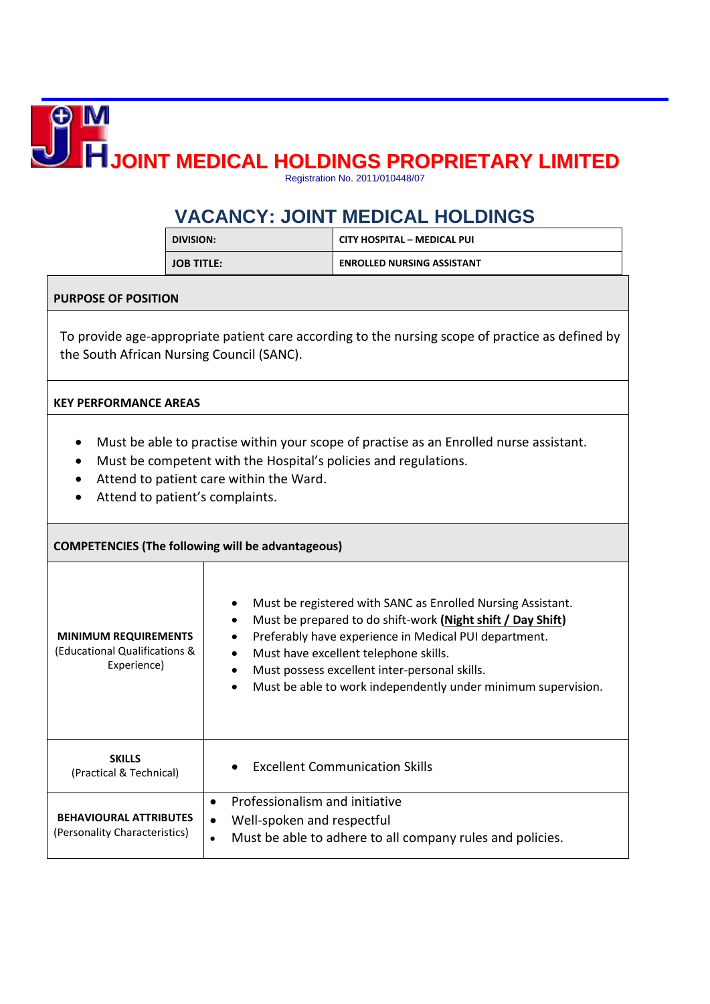**JOINT MEDICAL HOLDINGS PROPRIETARY LIMITED** Registration No. 2011/010448/07

## **VACANCY: JOINT MEDICAL HOLDINGS**

| DIVISION:         | <b>CITY HOSPITAL - MEDICAL PUI</b> |
|-------------------|------------------------------------|
| <b>JOB TITLE:</b> | <b>ENROLLED NURSING ASSISTANT</b>  |

## **PURPOSE OF POSITION**

To provide age-appropriate patient care according to the nursing scope of practice as defined by the South African Nursing Council (SANC).

## **KEY PERFORMANCE AREAS**

- Must be able to practise within your scope of practise as an Enrolled nurse assistant.
- Must be competent with the Hospital's policies and regulations.
- Attend to patient care within the Ward.
- Attend to patient's complaints.

| <b>COMPETENCIES (The following will be advantageous)</b>                    |                                                                                                                                                                                                                                                                                                                                                                                       |
|-----------------------------------------------------------------------------|---------------------------------------------------------------------------------------------------------------------------------------------------------------------------------------------------------------------------------------------------------------------------------------------------------------------------------------------------------------------------------------|
| <b>MINIMUM REQUIREMENTS</b><br>(Educational Qualifications &<br>Experience) | Must be registered with SANC as Enrolled Nursing Assistant.<br>Must be prepared to do shift-work (Night shift / Day Shift)<br>$\bullet$<br>Preferably have experience in Medical PUI department.<br>Must have excellent telephone skills.<br>$\bullet$<br>Must possess excellent inter-personal skills.<br>Must be able to work independently under minimum supervision.<br>$\bullet$ |
| <b>SKILLS</b><br>(Practical & Technical)                                    | <b>Excellent Communication Skills</b>                                                                                                                                                                                                                                                                                                                                                 |
| <b>BEHAVIOURAL ATTRIBUTES</b><br>(Personality Characteristics)              | Professionalism and initiative<br>$\bullet$<br>Well-spoken and respectful<br>$\bullet$<br>Must be able to adhere to all company rules and policies.<br>$\bullet$                                                                                                                                                                                                                      |